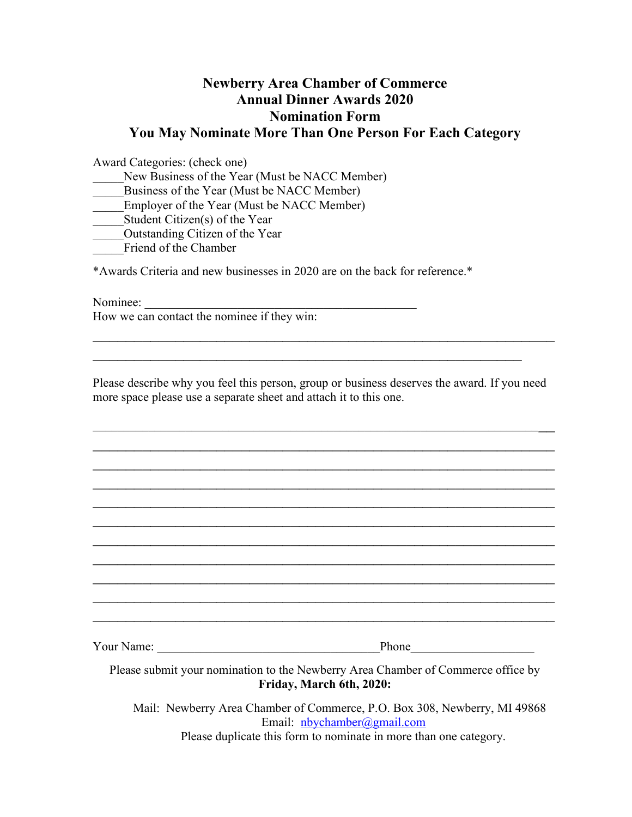# Newberry Area Chamber of Commerce Annual Dinner Awards 2020 Nomination Form You May Nominate More Than One Person For Each Category

Award Categories: (check one)

New Business of the Year (Must be NACC Member)

Business of the Year (Must be NACC Member)

Employer of the Year (Must be NACC Member)

Student Citizen(s) of the Year

\_\_\_\_\_Outstanding Citizen of the Year

Friend of the Chamber

\*Awards Criteria and new businesses in 2020 are on the back for reference.\*

Nominee:

How we can contact the nominee if they win:

Please describe why you feel this person, group or business deserves the award. If you need more space please use a separate sheet and attach it to this one.

 $\mathcal{L}_\text{max}$  , and the contract of the contract of the contract of the contract of the contract of the contract of the contract of the contract of the contract of the contract of the contract of the contract of the contr  $\mathcal{L}_\text{max}$  , and the contract of the contract of the contract of the contract of the contract of the contract of the contract of the contract of the contract of the contract of the contract of the contract of the contr  $\mathcal{L}_\text{max}$  , and the contract of the contract of the contract of the contract of the contract of the contract of the contract of the contract of the contract of the contract of the contract of the contract of the contr  $\mathcal{L}_\text{max}$  , and the contract of the contract of the contract of the contract of the contract of the contract of the contract of the contract of the contract of the contract of the contract of the contract of the contr  $\mathcal{L}_\text{max}$  , and the contract of the contract of the contract of the contract of the contract of the contract of the contract of the contract of the contract of the contract of the contract of the contract of the contr  $\mathcal{L}_\text{max}$  , and the contract of the contract of the contract of the contract of the contract of the contract of the contract of the contract of the contract of the contract of the contract of the contract of the contr  $\mathcal{L}_\text{max}$  , and the contract of the contract of the contract of the contract of the contract of the contract of the contract of the contract of the contract of the contract of the contract of the contract of the contr  $\mathcal{L}_\text{max}$  , and the contract of the contract of the contract of the contract of the contract of the contract of the contract of the contract of the contract of the contract of the contract of the contract of the contr  $\mathcal{L}_\text{max}$  , and the contract of the contract of the contract of the contract of the contract of the contract of the contract of the contract of the contract of the contract of the contract of the contract of the contr  $\mathcal{L}_\text{max}$  , and the contract of the contract of the contract of the contract of the contract of the contract of the contract of the contract of the contract of the contract of the contract of the contract of the contr  $\mathcal{L}_\text{max}$  , and the contract of the contract of the contract of the contract of the contract of the contract of the contract of the contract of the contract of the contract of the contract of the contract of the contr

 $\mathcal{L}_\text{max}$  , and the contract of the contract of the contract of the contract of the contract of the contract of the contract of the contract of the contract of the contract of the contract of the contract of the contr

 $\mathcal{L}_\text{max}$  and the contract of the contract of the contract of the contract of the contract of the contract of

Your Name: \_\_\_\_\_\_\_\_\_\_\_\_\_\_\_\_\_\_\_\_\_\_\_\_\_\_\_\_\_\_\_\_\_\_\_\_Phone\_\_\_\_\_\_\_\_\_\_\_\_\_\_\_\_\_\_\_\_

Please submit your nomination to the Newberry Area Chamber of Commerce office by Friday, March 6th, 2020:

 Mail: Newberry Area Chamber of Commerce, P.O. Box 308, Newberry, MI 49868 Email: nbychamber@gmail.com

Please duplicate this form to nominate in more than one category.